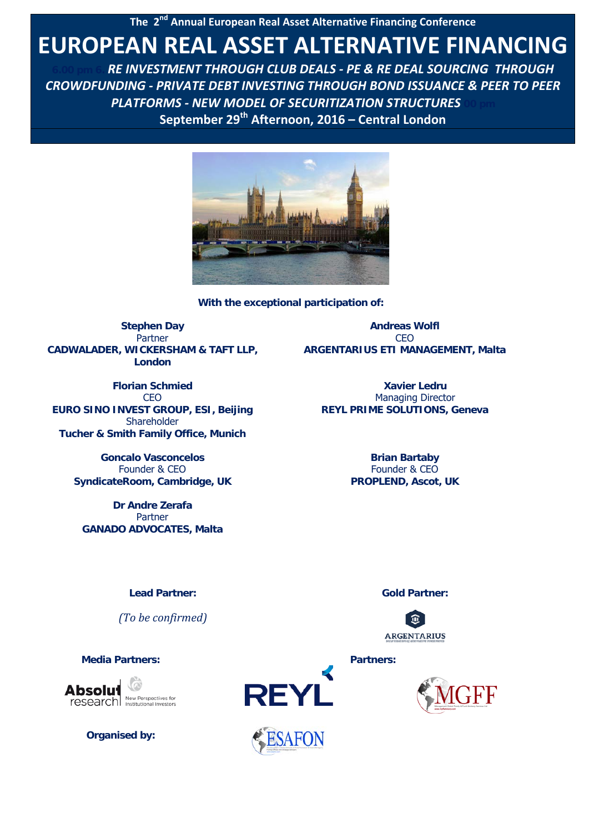**The 2<sup>nd</sup> Annual European Real Asset Alternative Financing Conference** 

# **EUROPEAN REAL ASSET ALTERNATIVE FINANCING**

**6.00 pm 6.** *RE INVESTMENT THROUGH CLUB DEALS - PE & RE DEAL SOURCING THROUGH CROWDFUNDING - PRIVATE DEBT INVESTING THROUGH BOND ISSUANCE & PEER TO PEER*  **PLATFORMS - NEW MODEL OF SECURITIZATION STRUCTURES September 29th Afternoon, 2016 – Central London**



**With the exceptional participation of:** 

**Stephen Day** Partner **CADWALADER, WICKERSHAM & TAFT LLP, London**

**Florian Schmied CEO EURO SINO INVEST GROUP, ESI, Beijing** Shareholder **Tucher & Smith Family Office, Munich**

> **Goncalo Vasconcelos** Founder & CEO **SyndicateRoom, Cambridge, UK**

**Dr Andre Zerafa** Partner **GANADO ADVOCATES, Malta**

**Andreas Wolfl** CEO **ARGENTARIUS ETI MANAGEMENT, Malta**

> **Xavier Ledru** Managing Director **REYL PRIME SOLUTIONS, Geneva**

> > **Brian Bartaby** Founder & CEO **PROPLEND, Ascot, UK**

> > > **ARGENTARIUS**

#### **Lead Partner: Gold Partner:**

*(To be confirmed)*

research New Perspectives for

**Organised by:**



**SAFON** 

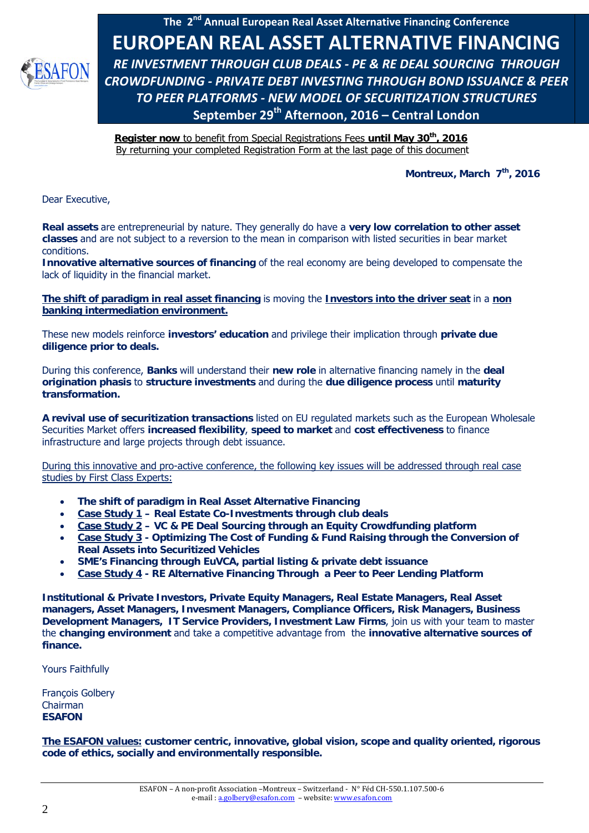

**Register now** to benefit from Special Registrations Fees **until May 30th, 2016** By returning your completed Registration Form at the last page of this document

Montreux, March 7<sup>th</sup>, 2016

Dear Executive,

**Real assets** are entrepreneurial by nature. They generally do have a **very low correlation to other asset classes** and are not subject to a reversion to the mean in comparison with listed securities in bear market conditions.

**Innovative alternative sources of financing** of the real economy are being developed to compensate the lack of liquidity in the financial market.

**The shift of paradigm in real asset financing** is moving the **Investors into the driver seat** in a **non banking intermediation environment.**

These new models reinforce **investors' education** and privilege their implication through **private due diligence prior to deals.**

During this conference, **Banks** will understand their **new role** in alternative financing namely in the **deal origination phasis** to **structure investments** and during the **due diligence process** until **maturity transformation.**

**A revival use of securitization transactions** listed on EU regulated markets such as the European Wholesale Securities Market offers **increased flexibility**, **speed to market** and **cost effectiveness** to finance infrastructure and large projects through debt issuance.

During this innovative and pro-active conference, the following key issues will be addressed through real case studies by First Class Experts:

- **The shift of paradigm in Real Asset Alternative Financing**
- **Case Study 1 Real Estate Co-Investments through club deals**
- **Case Study 2 VC & PE Deal Sourcing through an Equity Crowdfunding platform**
- **Case Study 3 Optimizing The Cost of Funding & Fund Raising through the Conversion of Real Assets into Securitized Vehicles**
- **SME's Financing through EuVCA, partial listing & private debt issuance**
- **Case Study 4 RE Alternative Financing Through a Peer to Peer Lending Platform**

**Institutional & Private Investors, Private Equity Managers, Real Estate Managers, Real Asset managers, Asset Managers, Invesment Managers, Compliance Officers, Risk Managers, Business Development Managers, IT Service Providers, Investment Law Firms**, join us with your team to master the **changing environment** and take a competitive advantage from the **innovative alternative sources of finance.**

Yours Faithfully

François Golbery Chairman **ESAFON** 

**The ESAFON values: customer centric, innovative, global vision, scope and quality oriented, rigorous code of ethics, socially and environmentally responsible.**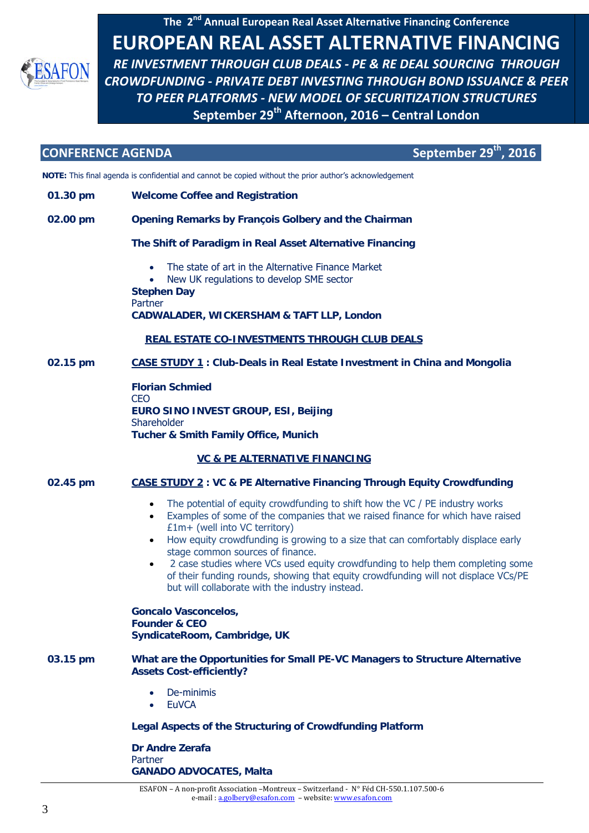

**CONFERENCE AGENDA September 29<sup>th</sup>, 2016** 

**NOTE:** This final agenda is confidential and cannot be copied without the prior author's acknowledgement

**01.30 pm Welcome Coffee and Registration**

#### **02.00 pm Opening Remarks by François Golbery and the Chairman**

#### **The Shift of Paradigm in Real Asset Alternative Financing**

- The state of art in the Alternative Finance Market
- New UK regulations to develop SME sector

**Stephen Day** Partner **CADWALADER, WICKERSHAM & TAFT LLP, London**

#### **REAL ESTATE CO-INVESTMENTS THROUGH CLUB DEALS**

#### **02.15 pm CASE STUDY 1 : Club-Deals in Real Estate Investment in China and Mongolia**

**Florian Schmied CEO EURO SINO INVEST GROUP, ESI, Beijing Shareholder Tucher & Smith Family Office, Munich**

### **VC & PE ALTERNATIVE FINANCING**

#### **02.45 pm CASE STUDY 2 : VC & PE Alternative Financing Through Equity Crowdfunding**

- The potential of equity crowdfunding to shift how the VC / PE industry works
- Examples of some of the companies that we raised finance for which have raised £1m+ (well into VC territory)
- How equity crowdfunding is growing to a size that can comfortably displace early stage common sources of finance.
- 2 case studies where VCs used equity crowdfunding to help them completing some of their funding rounds, showing that equity crowdfunding will not displace VCs/PE but will collaborate with the industry instead.

**Goncalo Vasconcelos, Founder & CEO SyndicateRoom, Cambridge, UK**

- **03.15 pm What are the Opportunities for Small PE-VC Managers to Structure Alternative Assets Cost-efficiently?**
	- De-minimis
	- **EuVCA**

#### **Legal Aspects of the Structuring of Crowdfunding Platform**

**Dr Andre Zerafa** Partner **GANADO ADVOCATES, Malta**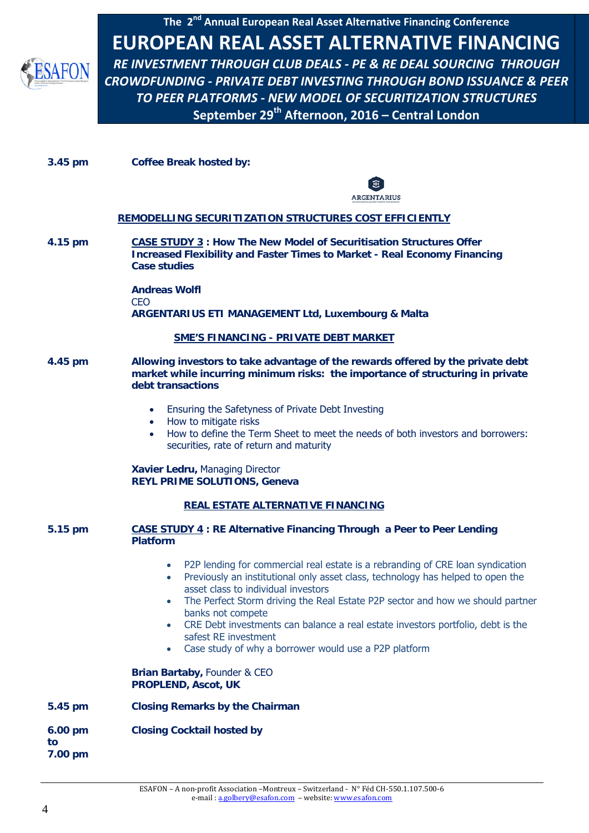A FON

**The 2nd Annual European Real Asset Alternative Financing Conference EUROPEAN REAL ASSET ALTERNATIVE FINANCING**  *RE INVESTMENT THROUGH CLUB DEALS - PE & RE DEAL SOURCING THROUGH CROWDFUNDING - PRIVATE DEBT INVESTING THROUGH BOND ISSUANCE & PEER TO PEER PLATFORMS - NEW MODEL OF SECURITIZATION STRUCTURES*  **September 29th Afternoon, 2016 – Central London**

**3.45 pm Coffee Break hosted by:** 



#### **REMODELLING SECURITIZATION STRUCTURES COST EFFICIENTLY**

**4.15 pm CASE STUDY 3 : How The New Model of Securitisation Structures Offer Increased Flexibility and Faster Times to Market - Real Economy Financing Case studies** 

> **Andreas Wolfl** CEO **ARGENTARIUS ETI MANAGEMENT Ltd, Luxembourg & Malta**

#### **SME'S FINANCING - PRIVATE DEBT MARKET**

- **4.45 pm Allowing investors to take advantage of the rewards offered by the private debt market while incurring minimum risks: the importance of structuring in private debt transactions**
	- Ensuring the Safetyness of Private Debt Investing
	- How to mitigate risks
	- How to define the Term Sheet to meet the needs of both investors and borrowers: securities, rate of return and maturity

**Xavier Ledru,** Managing Director **REYL PRIME SOLUTIONS, Geneva**

#### **REAL ESTATE ALTERNATIVE FINANCING**

#### **5.15 pm CASE STUDY 4 : RE Alternative Financing Through a Peer to Peer Lending Platform**

- P2P lending for commercial real estate is a rebranding of CRE loan syndication
- Previously an institutional only asset class, technology has helped to open the asset class to individual investors
- The Perfect Storm driving the Real Estate P2P sector and how we should partner banks not compete
- CRE Debt investments can balance a real estate investors portfolio, debt is the safest RE investment
- Case study of why a borrower would use a P2P platform

**Brian Bartaby,** Founder & CEO **PROPLEND, Ascot, UK**

#### **5.45 pm Closing Remarks by the Chairman**

**6.00 pm to 7.00 pm Closing Cocktail hosted by**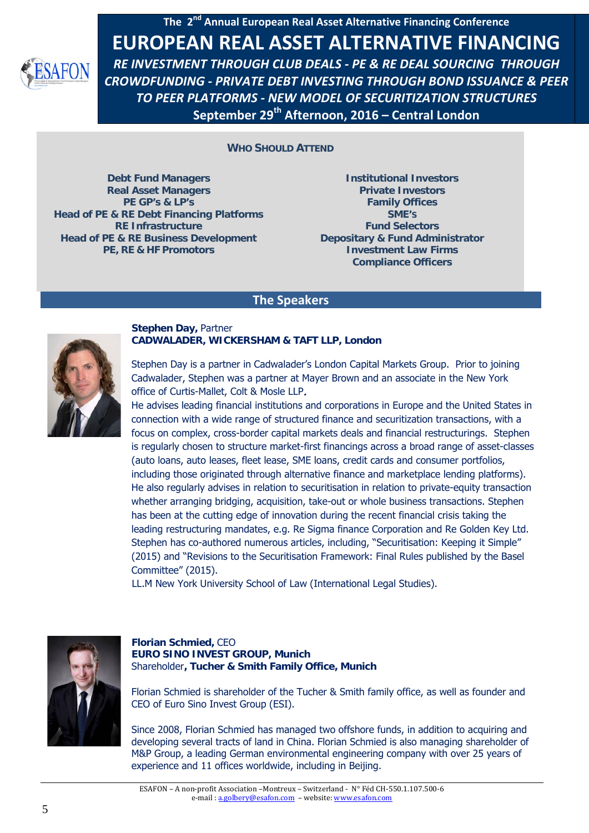

**WHO SHOULD ATTEND** 

**Debt Fund Managers Real Asset Managers PE GP's & LP's Head of PE & RE Debt Financing Platforms RE Infrastructure Head of PE & RE Business Development PE, RE & HF Promotors**

**Institutional Investors Private Investors Family Offices SME'S Fund Selectors Depositary & Fund Administrator Investment Law Firms Compliance Officers**

#### **The Speakers**



### **Stephen Day,** Partner **CADWALADER, WICKERSHAM & TAFT LLP, London**

Stephen Day is a partner in Cadwalader's London Capital Markets Group. Prior to joining Cadwalader, Stephen was a partner at Mayer Brown and an associate in the New York office of Curtis-Mallet, Colt & Mosle LLP.

He advises leading financial institutions and corporations in Europe and the United States in connection with a wide range of structured finance and securitization transactions, with a focus on complex, cross-border capital markets deals and financial restructurings. Stephen is regularly chosen to structure market-first financings across a broad range of asset-classes (auto loans, auto leases, fleet lease, SME loans, credit cards and consumer portfolios, including those originated through alternative finance and marketplace lending platforms). He also regularly advises in relation to securitisation in relation to private-equity transaction whether arranging bridging, acquisition, take-out or whole business transactions. Stephen has been at the cutting edge of innovation during the recent financial crisis taking the leading restructuring mandates, e.g. Re Sigma finance Corporation and Re Golden Key Ltd. Stephen has co-authored numerous articles, including, "Securitisation: Keeping it Simple" (2015) and "Revisions to the Securitisation Framework: Final Rules published by the Basel Committee" (2015).

LL.M New York University School of Law (International Legal Studies).



#### **Florian Schmied,** CEO **EURO SINO INVEST GROUP, Munich**  Shareholder**, Tucher & Smith Family Office, Munich**

Florian Schmied is shareholder of the Tucher & Smith family office, as well as founder and CEO of Euro Sino Invest Group (ESI).

Since 2008, Florian Schmied has managed two offshore funds, in addition to acquiring and developing several tracts of land in China. Florian Schmied is also managing shareholder of M&P Group, a leading German environmental engineering company with over 25 years of experience and 11 offices worldwide, including in Beijing.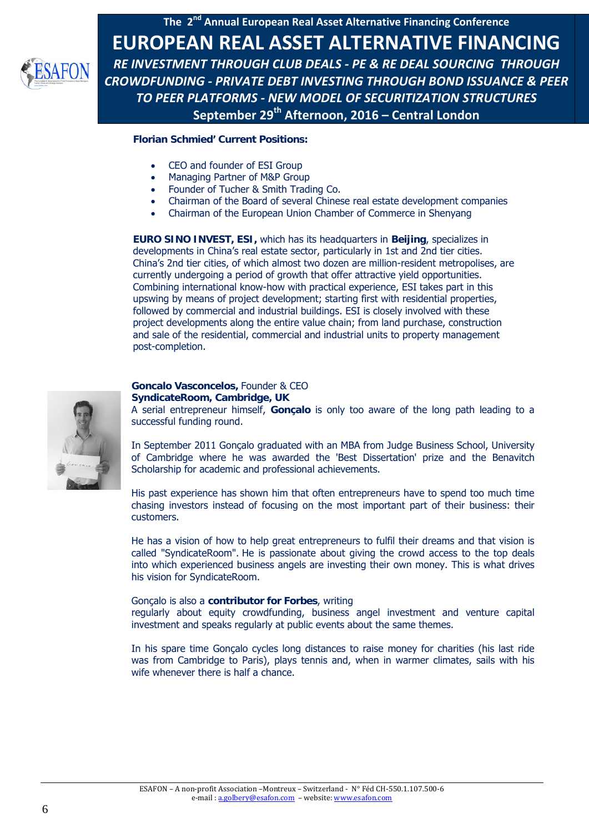

#### **Florian Schmied' Current Positions:**

- CEO and founder of ESI Group
- Managing Partner of M&P Group
- Founder of Tucher & Smith Trading Co.
- Chairman of the Board of several Chinese real estate development companies
- Chairman of the European Union Chamber of Commerce in Shenyang

**EURO SINO INVEST, ESI,** which has its headquarters in **Beijing**, specializes in developments in China's real estate sector, particularly in 1st and 2nd tier cities. China's 2nd tier cities, of which almost two dozen are million-resident metropolises, are currently undergoing a period of growth that offer attractive yield opportunities. Combining international know-how with practical experience, ESI takes part in this upswing by means of project development; starting first with residential properties, followed by commercial and industrial buildings. ESI is closely involved with these project developments along the entire value chain; from land purchase, construction and sale of the residential, commercial and industrial units to property management post-completion.



#### **Goncalo Vasconcelos,** Founder & CEO **SyndicateRoom, Cambridge, UK**

A serial entrepreneur himself, **Gonçalo** is only too aware of the long path leading to a successful funding round.

In September 2011 Gonçalo graduated with an MBA from Judge Business School, University of Cambridge where he was awarded the 'Best Dissertation' prize and the Benavitch Scholarship for academic and professional achievements.

His past experience has shown him that often entrepreneurs have to spend too much time chasing investors instead of focusing on the most important part of their business: their customers.

He has a vision of how to help great entrepreneurs to fulfil their dreams and that vision is called "SyndicateRoom". He is passionate about giving the crowd access to the top deals into which experienced business angels are investing their own money. This is what drives his vision for SyndicateRoom.

#### Gonçalo is also a **[contributor for Forbes](http://www.forbes.com/sites/goncalodevasconcelos/)**, writing

regularly about equity crowdfunding, business angel investment and venture capital investment and speaks regularly at public events about the same themes.

In his spare time Gonçalo cycles long distances to raise money for charities (his last ride was from Cambridge to Paris), plays tennis and, when in warmer climates, sails with his wife whenever there is half a chance.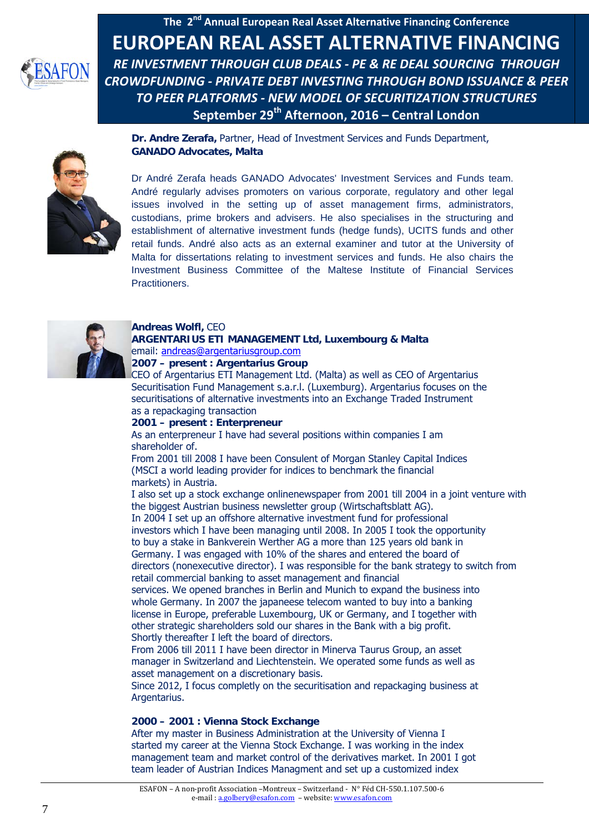

**Dr. Andre Zerafa,** Partner, Head of Investment Services and Funds Department, **GANADO Advocates, Malta**

Dr André Zerafa heads GANADO Advocates' Investment Services and Funds team. André regularly advises promoters on various corporate, regulatory and other legal issues involved in the setting up of asset management firms, administrators, custodians, prime brokers and advisers. He also specialises in the structuring and establishment of alternative investment funds (hedge funds), UCITS funds and other retail funds. André also acts as an external examiner and tutor at the University of Malta for dissertations relating to investment services and funds. He also chairs the Investment Business Committee of the Maltese Institute of Financial Services Practitioners.



#### **Andreas Wolfl,** CEO **ARGENTARIUS ETI MANAGEMENT Ltd, Luxembourg & Malta** email: [andreas@argentariusgroup.com](mailto:andreas@argentariusgroup.com)

**2007 – present : Argentarius Group**

CEO of Argentarius ETI Management Ltd. (Malta) as well as CEO of Argentarius Securitisation Fund Management s.a.r.l. (Luxemburg). Argentarius focuses on the securitisations of alternative investments into an Exchange Traded Instrument as a repackaging transaction

#### **2001 – present : Enterpreneur**

As an enterpreneur I have had several positions within companies I am shareholder of.

From 2001 till 2008 I have been Consulent of Morgan Stanley Capital Indices (MSCI a world leading provider for indices to benchmark the financial markets) in Austria.

I also set up a stock exchange onlinenewspaper from 2001 till 2004 in a joint venture with the biggest Austrian business newsletter group (Wirtschaftsblatt AG).

In 2004 I set up an offshore alternative investment fund for professional investors which I have been managing until 2008. In 2005 I took the opportunity to buy a stake in Bankverein Werther AG a more than 125 years old bank in Germany. I was engaged with 10% of the shares and entered the board of directors (nonexecutive director). I was responsible for the bank strategy to switch from retail commercial banking to asset management and financial

services. We opened branches in Berlin and Munich to expand the business into whole Germany. In 2007 the japaneese telecom wanted to buy into a banking license in Europe, preferable Luxembourg, UK or Germany, and I together with other strategic shareholders sold our shares in the Bank with a big profit. Shortly thereafter I left the board of directors.

From 2006 till 2011 I have been director in Minerva Taurus Group, an asset manager in Switzerland and Liechtenstein. We operated some funds as well as asset management on a discretionary basis.

Since 2012, I focus completly on the securitisation and repackaging business at Argentarius.

#### **2000 – 2001 : Vienna Stock Exchange**

After my master in Business Administration at the University of Vienna I started my career at the Vienna Stock Exchange. I was working in the index management team and market control of the derivatives market. In 2001 I got team leader of Austrian Indices Managment and set up a customized index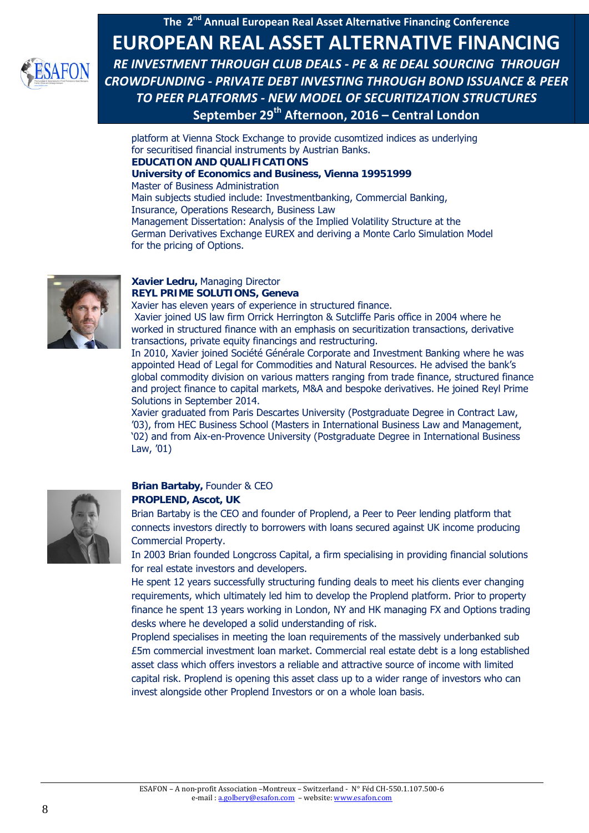

platform at Vienna Stock Exchange to provide cusomtized indices as underlying for securitised financial instruments by Austrian Banks. **EDUCATION AND QUALIFICATIONS University of Economics and Business, Vienna 19951999** Master of Business Administration Main subjects studied include: Investmentbanking, Commercial Banking, Insurance, Operations Research, Business Law Management Dissertation: Analysis of the Implied Volatility Structure at the German Derivatives Exchange EUREX and deriving a Monte Carlo Simulation Model



#### **Xavier Ledru,** Managing Director **REYL PRIME SOLUTIONS, Geneva**

for the pricing of Options.

Xavier has eleven years of experience in structured finance.

Xavier joined US law firm Orrick Herrington & Sutcliffe Paris office in 2004 where he worked in structured finance with an emphasis on securitization transactions, derivative transactions, private equity financings and restructuring.

In 2010, Xavier joined Société Générale Corporate and Investment Banking where he was appointed Head of Legal for Commodities and Natural Resources. He advised the bank's global commodity division on various matters ranging from trade finance, structured finance and project finance to capital markets, M&A and bespoke derivatives. He joined Reyl Prime Solutions in September 2014.

Xavier graduated from Paris Descartes University (Postgraduate Degree in Contract Law, '03), from HEC Business School (Masters in International Business Law and Management, '02) and from Aix-en-Provence University (Postgraduate Degree in International Business Law, '01)



# **Brian Bartaby,** Founder & CEO

#### **PROPLEND, Ascot, UK**

Brian Bartaby is the CEO and founder of Proplend, a Peer to Peer lending platform that connects investors directly to borrowers with loans secured against UK income producing Commercial Property.

In 2003 Brian founded Longcross Capital, a firm specialising in providing financial solutions for real estate investors and developers.

He spent 12 years successfully structuring funding deals to meet his clients ever changing requirements, which ultimately led him to develop the Proplend platform. Prior to property finance he spent 13 years working in London, NY and HK managing FX and Options trading desks where he developed a solid understanding of risk.

Proplend specialises in meeting the loan requirements of the massively underbanked sub £5m commercial investment loan market. Commercial real estate debt is a long established asset class which offers investors a reliable and attractive source of income with limited capital risk. Proplend is opening this asset class up to a wider range of investors who can invest alongside other Proplend Investors or on a whole loan basis.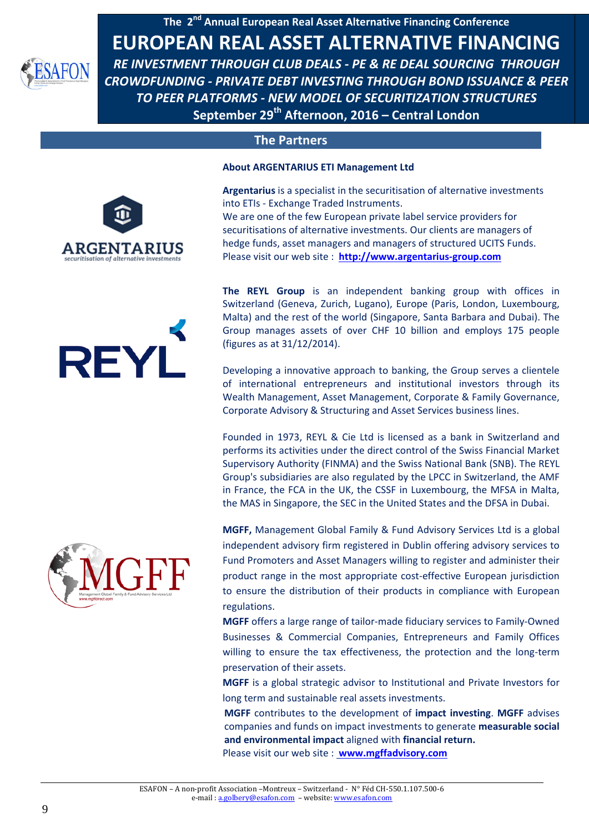

# **The Partners**

#### **About ARGENTARIUS ETI Management Ltd**



**REYL** 

**Argentarius** is a specialist in the securitisation of alternative investments into ETIs - Exchange Traded Instruments. We are one of the few European private label service providers for securitisations of alternative investments. Our clients are managers of hedge funds, asset managers and managers of structured UCITS Funds. Please visit our web site : **[http://www.argentarius-group.com](http://www.argentarius-group.com/)**

**The REYL Group** is an independent banking group with offices in Switzerland (Geneva, Zurich, Lugano), Europe (Paris, London, Luxembourg, Malta) and the rest of the world (Singapore, Santa Barbara and Dubai). The Group manages assets of over CHF 10 billion and employs 175 people (figures as at 31/12/2014).

Developing a innovative approach to banking, the Group serves a clientele of international entrepreneurs and institutional investors through its Wealth Management, Asset Management, Corporate & Family Governance, Corporate Advisory & Structuring and Asset Services business lines.

Founded in 1973, REYL & Cie Ltd is licensed as a bank in Switzerland and performs its activities under the direct control of the Swiss Financial Market Supervisory Authority (FINMA) and the Swiss National Bank (SNB). The REYL Group's subsidiaries are also regulated by the LPCC in Switzerland, the AMF in France, the FCA in the UK, the CSSF in Luxembourg, the MFSA in Malta, the MAS in Singapore, the SEC in the United States and the DFSA in Dubai.

**MGFF,** Management Global Family & Fund Advisory Services Ltd is a global independent advisory firm registered in Dublin offering advisory services to Fund Promoters and Asset Managers willing to register and administer their product range in the most appropriate cost-effective European jurisdiction to ensure the distribution of their products in compliance with European regulations.

**MGFF** offers a large range of tailor-made fiduciary services to Family-Owned Businesses & Commercial Companies, Entrepreneurs and Family Offices willing to ensure the tax effectiveness, the protection and the long-term preservation of their assets.

**MGFF** is a global strategic advisor to Institutional and Private Investors for long term and sustainable real assets investments.

**MGFF** contributes to the development of **impact investing**. **MGFF** advises companies and funds on impact investments to generate **measurable social and environmental impact** aligned with **financial return.**

Please visit our web site : **[www.mgffadvisory.com](http://www.mgffadvisory.com/)**

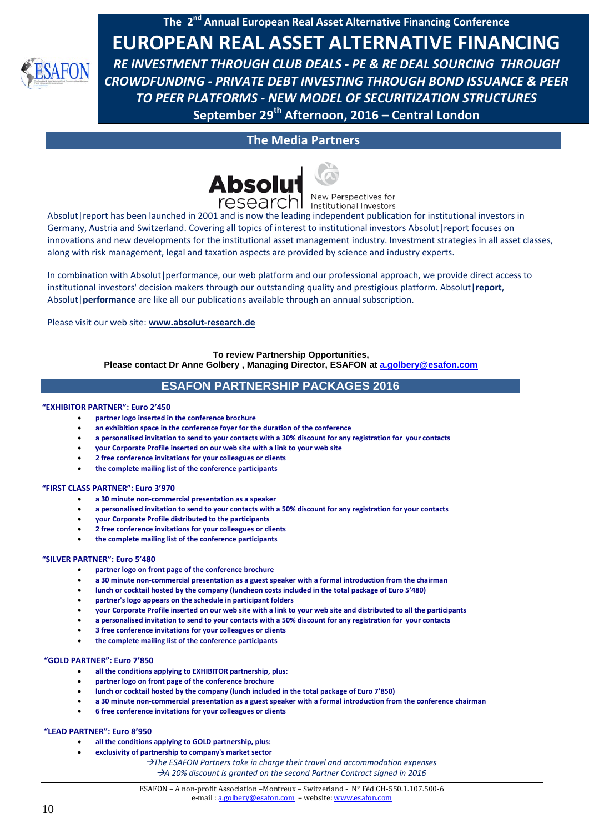**The 2nd Annual European Real Asset Alternative Financing Conference**



**EUROPEAN REAL ASSET ALTERNATIVE FINANCING**  *RE INVESTMENT THROUGH CLUB DEALS - PE & RE DEAL SOURCING THROUGH CROWDFUNDING - PRIVATE DEBT INVESTING THROUGH BOND ISSUANCE & PEER TO PEER PLATFORMS - NEW MODEL OF SECURITIZATION STRUCTURES*  **September 29th Afternoon, 2016 – Central London**

# **The Media Partners**



research New Perspectives for

Absolut|report has been launched in 2001 and is now the leading independent publication for institutional investors in Germany, Austria and Switzerland. Covering all topics of interest to institutional investors Absolut|report focuses on innovations and new developments for the institutional asset management industry. Investment strategies in all asset classes, along with risk management, legal and taxation aspects are provided by science and industry experts.

In combination with Absolut|performance, our web platform and our professional approach, we provide direct access to institutional investors' decision makers through our outstanding quality and prestigious platform. Absolut|**report**, Absolut|**performance** are like all our publications available through an annual subscription.

Please visit our web site: **www.absolut-research.de**

#### **To review Partnership Opportunities,**

**Please contact Dr Anne Golbery , Managing Director, ESAFON at [a.golbery@esafon.com](mailto:a.golbery@esafon.com)**

# **ESAFON PARTNERSHIP PACKAGES 2016**

#### **"EXHIBITOR PARTNER": Euro 2'450**

- **partner logo inserted in the conference brochure**
- an exhibition space in the conference foyer for the duration of the conference
- **a personalised invitation to send to your contacts with a 30% discount for any registration for your contacts**
- **your Corporate Profile inserted on our web site with a link to your web site**
- **2 free conference invitations for your colleagues or clients**
- **the complete mailing list of the conference participants**

#### **"FIRST CLASS PARTNER": Euro 3'970**

- **a 30 minute non-commercial presentation as a speaker**
- **a personalised invitation to send to your contacts with a 50% discount for any registration for your contacts**
- **your Corporate Profile distributed to the participants**
- **2 free conference invitations for your colleagues or clients**
- **the complete mailing list of the conference participants**

#### **"SILVER PARTNER": Euro 5'480**

- **partner logo on front page of the conference brochure**
- **a 30 minute non-commercial presentation as a guest speaker with a formal introduction from the chairman**
- **lunch or cocktail hosted by the company (luncheon costs included in the total package of Euro 5'480)**
- **partner's logo appears on the schedule in participant folders**
- **your Corporate Profile inserted on our web site with a link to your web site and distributed to all the participants**
- **a personalised invitation to send to your contacts with a 50% discount for any registration for your contacts**
- **3 free conference invitations for your colleagues or clients**
- **the complete mailing list of the conference participants**

#### **"GOLD PARTNER": Euro 7'850**

- **all the conditions applying to EXHIBITOR partnership, plus:**
- **partner logo on front page of the conference brochure**
- **lunch or cocktail hosted by the company (lunch included in the total package of Euro 7'850)**
- **a 30 minute non-commercial presentation as a guest speaker with a formal introduction from the conference chairman**
- **6 free conference invitations for your colleagues or clients**

#### **"LEAD PARTNER": Euro 8'950**

- **all the conditions applying to GOLD partnership, plus:**
- **exclusivity of partnership to company's market sector**

*The ESAFON Partners take in charge their travel and accommodation expenses A 20% discount is granted on the second Partner Contract signed in 2016*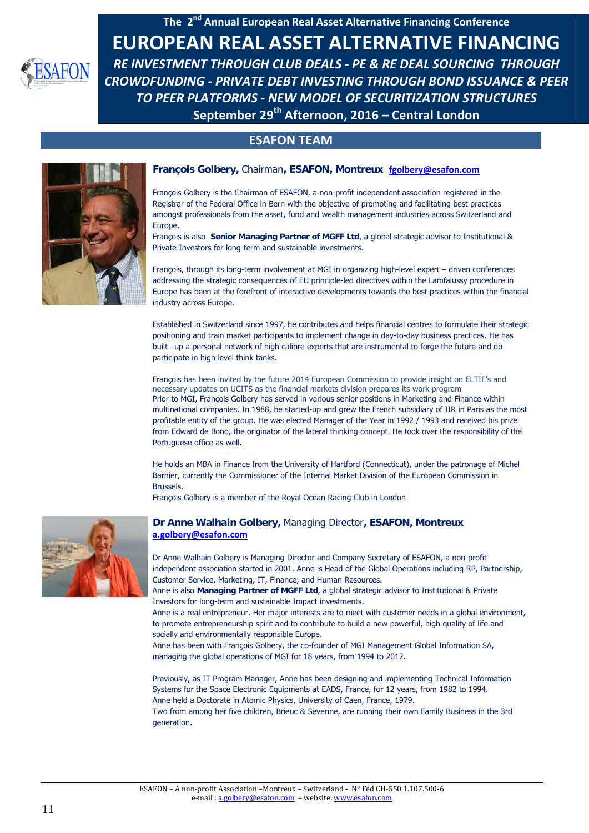

# **ESAFON TEAM**



#### **François Golbery,** Chairman**, ESAFON, Montreux [fgolbery@esafon.com](mailto:fgolbery@esafon.com)**

François Golbery is the Chairman of ESAFON, a non-profit independent association registered in the Registrar of the Federal Office in Bern with the objective of promoting and facilitating best practices amongst professionals from the asset, fund and wealth management industries across Switzerland and Europe.

François is also **Senior Managing Partner of MGFF Ltd**, a global strategic advisor to Institutional & Private Investors for long-term and sustainable investments.

François, through its long-term involvement at MGI in organizing high-level expert – driven conferences addressing the strategic consequences of EU principle-led directives within the Lamfalussy procedure in Europe has been at the forefront of interactive developments towards the best practices within the financial industry across Europe.

Established in Switzerland since 1997, he contributes and helps financial centres to formulate their strategic positioning and train market participants to implement change in day-to-day business practices. He has built –up a personal network of high calibre experts that are instrumental to forge the future and do participate in high level think tanks.

François has been invited by the future 2014 European Commission to provide insight on ELTIF's and necessary updates on UCITS as the financial markets division prepares its work program Prior to MGI, François Golbery has served in various senior positions in Marketing and Finance within multinational companies. In 1988, he started-up and grew the French subsidiary of IIR in Paris as the most profitable entity of the group. He was elected Manager of the Year in 1992 / 1993 and received his prize from Edward de Bono, the originator of the lateral thinking concept. He took over the responsibility of the Portuguese office as well.

He holds an MBA in Finance from the University of Hartford (Connecticut), under the patronage of Michel Barnier, currently the Commissioner of the Internal Market Division of the European Commission in Brussels.

François Golbery is a member of the Royal Ocean Racing Club in London



generation.

#### **Dr Anne Walhain Golbery,** Managing Director**, ESAFON, Montreux [a.golbery@esafon.com](mailto:a.golbery@esafon.com)**

Dr Anne Walhain Golbery is Managing Director and Company Secretary of ESAFON, a non-profit independent association started in 2001. Anne is Head of the Global Operations including RP, Partnership, Customer Service, Marketing, IT, Finance, and Human Resources.

Anne is also **Managing Partner of MGFF Ltd**, a global strategic advisor to Institutional & Private Investors for long-term and sustainable Impact investments.

Anne is a real entrepreneur. Her major interests are to meet with customer needs in a global environment, to promote entrepreneurship spirit and to contribute to build a new powerful, high quality of life and socially and environmentally responsible Europe.

Anne has been with François Golbery, the co-founder of MGI Management Global Information SA, managing the global operations of MGI for 18 years, from 1994 to 2012.

Previously, as IT Program Manager, Anne has been designing and implementing Technical Information Systems for the Space Electronic Equipments at EADS, France, for 12 years, from 1982 to 1994. Anne held a Doctorate in Atomic Physics, University of Caen, France, 1979. Two from among her five children, Brieuc & Severine, are running their own Family Business in the 3rd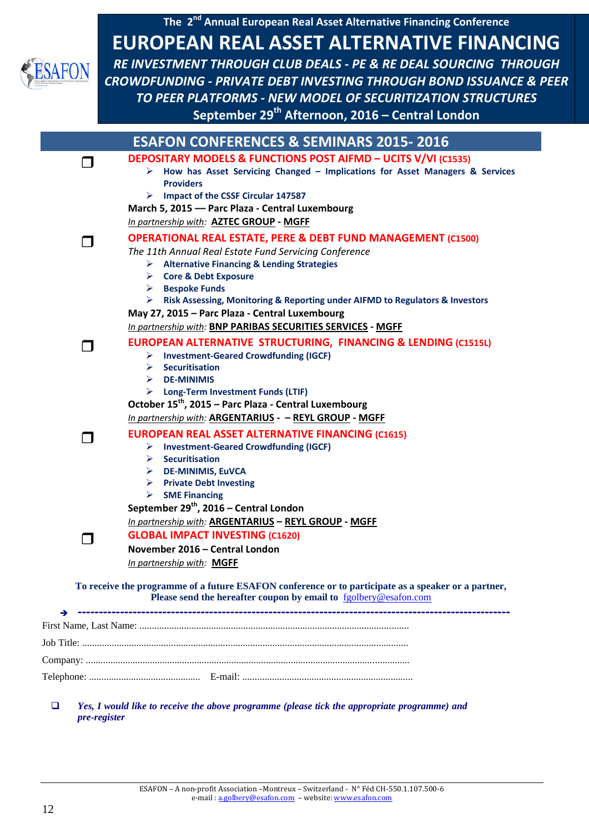

 *Yes, I would like to receive the above programme (please tick the appropriate programme) and pre-register*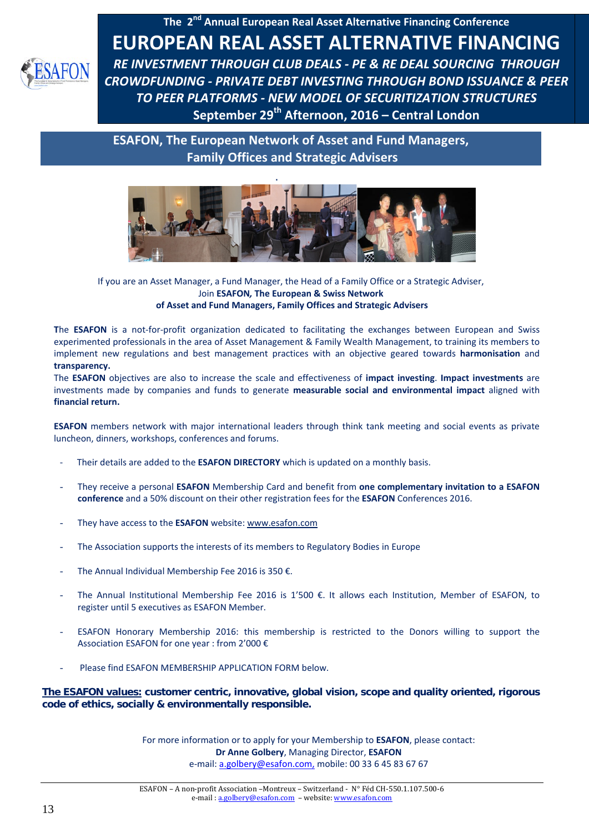

**ESAFON, The European Network of Asset and Fund Managers, Family Offices and Strategic Advisers**



If you are an Asset Manager, a Fund Manager, the Head of a Family Office or a Strategic Adviser, Join **ESAFON***,* **The European & Swiss Network of Asset and Fund Managers, Family Offices and Strategic Advisers**

**T**he **ESAFON** is a not-for-profit organization dedicated to facilitating the exchanges between European and Swiss experimented professionals in the area of Asset Management & Family Wealth Management, to training its members to implement new regulations and best management practices with an objective geared towards **harmonisation** and **transparency.**

The **ESAFON** objectives are also to increase the scale and effectiveness of **impact investing**. **Impact investments** are investments made by companies and funds to generate **measurable social and environmental impact** aligned with **financial return.**

**ESAFON** members network with major international leaders through think tank meeting and social events as private luncheon, dinners, workshops, conferences and forums.

- Their details are added to the **ESAFON DIRECTORY** which is updated on a monthly basis.
- They receive a personal **ESAFON** Membership Card and benefit from **one complementary invitation to a ESAFON conference** and a 50% discount on their other registration fees for the **ESAFON** Conferences 2016.
- They have access to the **ESAFON** website: [www.esafon.com](file:///\\marketing_admin\AppData\Local\Microsoft\AppData\AppData\Local\Microsoft\AppData\Local\Microsoft\AppData\Local\Microsoft\Windows\Temporary%20Internet%20Files\Content.Outlook\AppData\AppData\Local\Microsoft\AppData\Documents%20and%20Settings\Customer.service1\Local%20Settings\Temporary%20Internet%20Files\OLK4\www.esafon.com)
- The Association supports the interests of its members to Regulatory Bodies in Europe
- The Annual Individual Membership Fee 2016 is 350  $\epsilon$ .
- The Annual Institutional Membership Fee 2016 is 1'500 €. It allows each Institution, Member of ESAFON, to register until 5 executives as ESAFON Member.
- ESAFON Honorary Membership 2016: this membership is restricted to the Donors willing to support the Association ESAFON for one year : from 2'000 €
- Please find ESAFON MEMBERSHIP APPLICATION FORM below.

**The ESAFON values: customer centric, innovative, global vision, scope and quality oriented, rigorous code of ethics, socially & environmentally responsible.**

> For more information or to apply for your Membership to **ESAFON**, please contact: **Dr Anne Golbery**, Managing Director, **ESAFON** e-mail[: a.golbery@esafon.com,](mailto:a.golbery@esafon.com) mobile: 00 33 6 45 83 67 67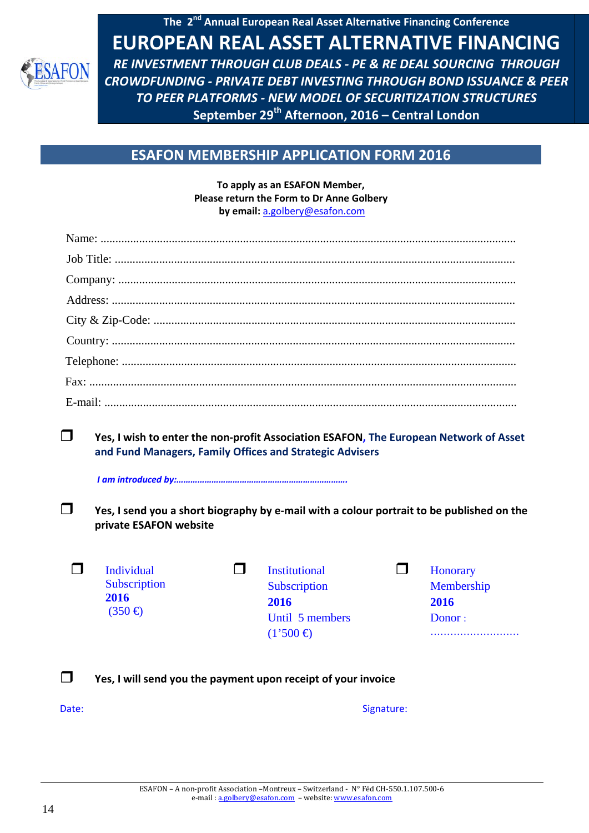

# **ESAFON MEMBERSHIP APPLICATION FORM 2016**

**To apply as an ESAFON Member, Please return the Form to Dr Anne Golbery by email:** a.golbery@esafon.com

| ┓<br>Yes, I wish to enter the non-profit Association ESAFON, The European Network of Asset<br>and Fund Managers, Family Offices and Strategic Advisers<br>┓<br>Yes, I send you a short biography by e-mail with a colour portrait to be published on the<br>private ESAFON website |                                                                                                  |                                          |
|------------------------------------------------------------------------------------------------------------------------------------------------------------------------------------------------------------------------------------------------------------------------------------|--------------------------------------------------------------------------------------------------|------------------------------------------|
| П<br>Individual<br>- 1<br>Subscription<br>2016<br>$(350 \div )$                                                                                                                                                                                                                    | <b>Institutional</b><br>l 1<br>Subscription<br>2016<br>Until 5 members<br>$(1'500 \triangleleft$ | Honorary<br>Membership<br>2016<br>Donor: |
| Yes, I will send you the payment upon receipt of your invoice                                                                                                                                                                                                                      |                                                                                                  |                                          |
| Date:                                                                                                                                                                                                                                                                              | Signature:                                                                                       |                                          |